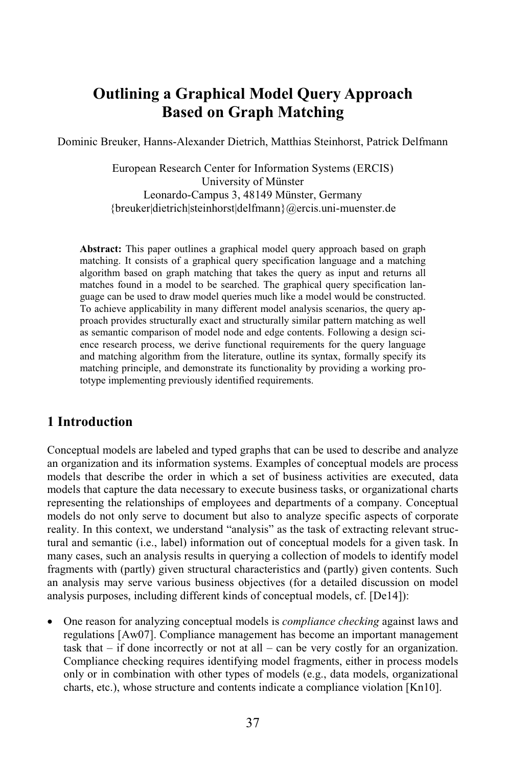# **Outlining a Graphical Model Query Approach Based on Graph Matching**

Dominic Breuker, Hanns-Alexander Dietrich, Matthias Steinhorst, Patrick Delfmann

European Research Center for Information Systems (ERCIS) University of Münster Leonardo-Campus 3, 48149 Münster, Germany {breuker|dietrich|steinhorst|delfmann}@ercis.uni-muenster.de

**Abstract:** This paper outlines a graphical model query approach based on graph matching. It consists of a graphical query specification language and a matching algorithm based on graph matching that takes the query as input and returns all matches found in a model to be searched. The graphical query specification language can be used to draw model queries much like a model would be constructed. To achieve applicability in many different model analysis scenarios, the query approach provides structurally exact and structurally similar pattern matching as well as semantic comparison of model node and edge contents. Following a design science research process, we derive functional requirements for the query language and matching algorithm from the literature, outline its syntax, formally specify its matching principle, and demonstrate its functionality by providing a working prototype implementing previously identified requirements.

#### **1 Introduction**

Conceptual models are labeled and typed graphs that can be used to describe and analyze an organization and its information systems. Examples of conceptual models are process models that describe the order in which a set of business activities are executed, data models that capture the data necessary to execute business tasks, or organizational charts representing the relationships of employees and departments of a company. Conceptual models do not only serve to document but also to analyze specific aspects of corporate reality. In this context, we understand "analysis" as the task of extracting relevant structural and semantic (i.e., label) information out of conceptual models for a given task. In many cases, such an analysis results in querying a collection of models to identify model fragments with (partly) given structural characteristics and (partly) given contents. Such an analysis may serve various business objectives (for a detailed discussion on model analysis purposes, including different kinds of conceptual models, cf. [De14]):

• One reason for analyzing conceptual models is *compliance checking* against laws and regulations [Aw07]. Compliance management has become an important management task that  $-$  if done incorrectly or not at all  $-$  can be very costly for an organization. Compliance checking requires identifying model fragments, either in process models only or in combination with other types of models (e.g., data models, organizational charts, etc.), whose structure and contents indicate a compliance violation [Kn10].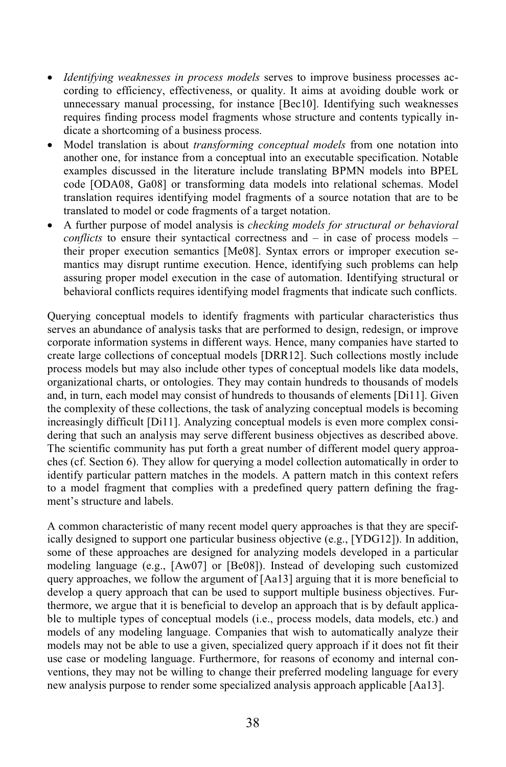- *Identifying weaknesses in process models* serves to improve business processes according to efficiency, effectiveness, or quality. It aims at avoiding double work or unnecessary manual processing, for instance [Bec10]. Identifying such weaknesses requires finding process model fragments whose structure and contents typically indicate a shortcoming of a business process.
- Model translation is about *transforming conceptual models* from one notation into another one, for instance from a conceptual into an executable specification. Notable examples discussed in the literature include translating BPMN models into BPEL code [ODA08, Ga08] or transforming data models into relational schemas. Model translation requires identifying model fragments of a source notation that are to be translated to model or code fragments of a target notation.
- A further purpose of model analysis is *checking models for structural or behavioral conflicts* to ensure their syntactical correctness and – in case of process models – their proper execution semantics [Me08]. Syntax errors or improper execution semantics may disrupt runtime execution. Hence, identifying such problems can help assuring proper model execution in the case of automation. Identifying structural or behavioral conflicts requires identifying model fragments that indicate such conflicts.

Querying conceptual models to identify fragments with particular characteristics thus serves an abundance of analysis tasks that are performed to design, redesign, or improve corporate information systems in different ways. Hence, many companies have started to create large collections of conceptual models [DRR12]. Such collections mostly include process models but may also include other types of conceptual models like data models, organizational charts, or ontologies. They may contain hundreds to thousands of models and, in turn, each model may consist of hundreds to thousands of elements [Di11]. Given the complexity of these collections, the task of analyzing conceptual models is becoming increasingly difficult [Di11]. Analyzing conceptual models is even more complex considering that such an analysis may serve different business objectives as described above. The scientific community has put forth a great number of different model query approaches (cf. Section 6). They allow for querying a model collection automatically in order to identify particular pattern matches in the models. A pattern match in this context refers to a model fragment that complies with a predefined query pattern defining the fragment's structure and labels.

A common characteristic of many recent model query approaches is that they are specifically designed to support one particular business objective (e.g., [YDG12]). In addition, some of these approaches are designed for analyzing models developed in a particular modeling language (e.g., [Aw07] or [Be08]). Instead of developing such customized query approaches, we follow the argument of  $[Aa13]$  arguing that it is more beneficial to develop a query approach that can be used to support multiple business objectives. Furthermore, we argue that it is beneficial to develop an approach that is by default applicable to multiple types of conceptual models (i.e., process models, data models, etc.) and models of any modeling language. Companies that wish to automatically analyze their models may not be able to use a given, specialized query approach if it does not fit their use case or modeling language. Furthermore, for reasons of economy and internal conventions, they may not be willing to change their preferred modeling language for every new analysis purpose to render some specialized analysis approach applicable [Aa13].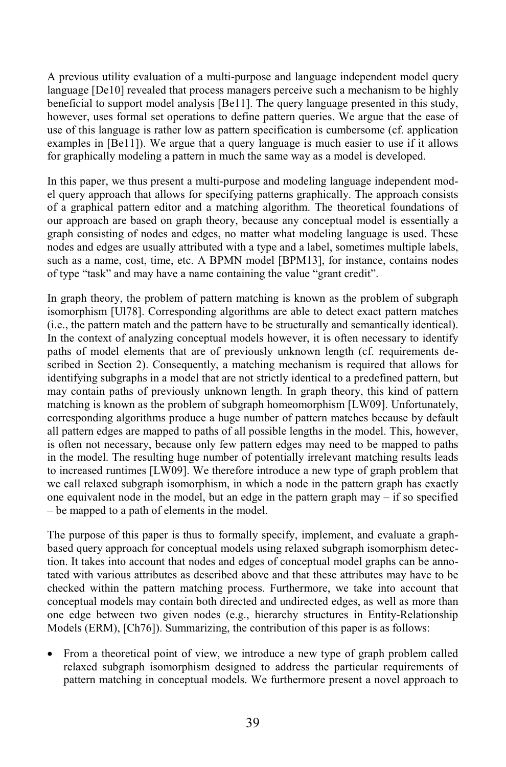A previous utility evaluation of a multi-purpose and language independent model query language [De10] revealed that process managers perceive such a mechanism to be highly beneficial to support model analysis [Be11]. The query language presented in this study, however, uses formal set operations to define pattern queries. We argue that the ease of use of this language is rather low as pattern specification is cumbersome (cf. application examples in [Be11]). We argue that a query language is much easier to use if it allows for graphically modeling a pattern in much the same way as a model is developed.

In this paper, we thus present a multi-purpose and modeling language independent model query approach that allows for specifying patterns graphically. The approach consists of a graphical pattern editor and a matching algorithm. The theoretical foundations of our approach are based on graph theory, because any conceptual model is essentially a graph consisting of nodes and edges, no matter what modeling language is used. These nodes and edges are usually attributed with a type and a label, sometimes multiple labels, such as a name, cost, time, etc. A BPMN model [BPM13], for instance, contains nodes of type "task" and may have a name containing the value "grant credit".

In graph theory, the problem of pattern matching is known as the problem of subgraph isomorphism [Ul78]. Corresponding algorithms are able to detect exact pattern matches (i.e., the pattern match and the pattern have to be structurally and semantically identical). In the context of analyzing conceptual models however, it is often necessary to identify paths of model elements that are of previously unknown length (cf. requirements described in Section 2). Consequently, a matching mechanism is required that allows for identifying subgraphs in a model that are not strictly identical to a predefined pattern, but may contain paths of previously unknown length. In graph theory, this kind of pattern matching is known as the problem of subgraph homeomorphism [LW09]. Unfortunately, corresponding algorithms produce a huge number of pattern matches because by default all pattern edges are mapped to paths of all possible lengths in the model. This, however, is often not necessary, because only few pattern edges may need to be mapped to paths in the model. The resulting huge number of potentially irrelevant matching results leads to increased runtimes [LW09]. We therefore introduce a new type of graph problem that we call relaxed subgraph isomorphism, in which a node in the pattern graph has exactly one equivalent node in the model, but an edge in the pattern graph may  $-$  if so specified – be mapped to a path of elements in the model.

The purpose of this paper is thus to formally specify, implement, and evaluate a graphbased query approach for conceptual models using relaxed subgraph isomorphism detection. It takes into account that nodes and edges of conceptual model graphs can be annotated with various attributes as described above and that these attributes may have to be checked within the pattern matching process. Furthermore, we take into account that conceptual models may contain both directed and undirected edges, as well as more than one edge between two given nodes (e.g., hierarchy structures in Entity-Relationship Models (ERM), [Ch76]). Summarizing, the contribution of this paper is as follows:

• From a theoretical point of view, we introduce a new type of graph problem called relaxed subgraph isomorphism designed to address the particular requirements of pattern matching in conceptual models. We furthermore present a novel approach to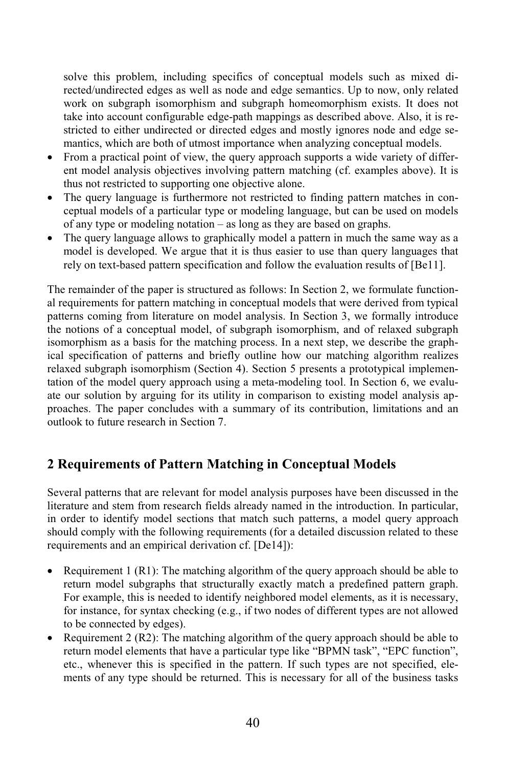solve this problem, including specifics of conceptual models such as mixed directed/undirected edges as well as node and edge semantics. Up to now, only related work on subgraph isomorphism and subgraph homeomorphism exists. It does not take into account configurable edge-path mappings as described above. Also, it is restricted to either undirected or directed edges and mostly ignores node and edge semantics, which are both of utmost importance when analyzing conceptual models.

- From a practical point of view, the query approach supports a wide variety of different model analysis objectives involving pattern matching (cf. examples above). It is thus not restricted to supporting one objective alone.
- The query language is furthermore not restricted to finding pattern matches in conceptual models of a particular type or modeling language, but can be used on models of any type or modeling notation – as long as they are based on graphs.
- The query language allows to graphically model a pattern in much the same way as a model is developed. We argue that it is thus easier to use than query languages that rely on text-based pattern specification and follow the evaluation results of [Be11].

The remainder of the paper is structured as follows: In Section 2, we formulate functional requirements for pattern matching in conceptual models that were derived from typical patterns coming from literature on model analysis. In Section 3, we formally introduce the notions of a conceptual model, of subgraph isomorphism, and of relaxed subgraph isomorphism as a basis for the matching process. In a next step, we describe the graphical specification of patterns and briefly outline how our matching algorithm realizes relaxed subgraph isomorphism (Section 4). Section 5 presents a prototypical implementation of the model query approach using a meta-modeling tool. In Section 6, we evaluate our solution by arguing for its utility in comparison to existing model analysis approaches. The paper concludes with a summary of its contribution, limitations and an outlook to future research in Section 7.

# **2 Requirements of Pattern Matching in Conceptual Models**

Several patterns that are relevant for model analysis purposes have been discussed in the literature and stem from research fields already named in the introduction. In particular, in order to identify model sections that match such patterns, a model query approach should comply with the following requirements (for a detailed discussion related to these requirements and an empirical derivation cf. [De14]):

- Requirement 1 (R1): The matching algorithm of the query approach should be able to return model subgraphs that structurally exactly match a predefined pattern graph. For example, this is needed to identify neighbored model elements, as it is necessary, for instance, for syntax checking (e.g., if two nodes of different types are not allowed to be connected by edges).
- Requirement 2 (R2): The matching algorithm of the query approach should be able to return model elements that have a particular type like "BPMN task", "EPC function", etc., whenever this is specified in the pattern. If such types are not specified, elements of any type should be returned. This is necessary for all of the business tasks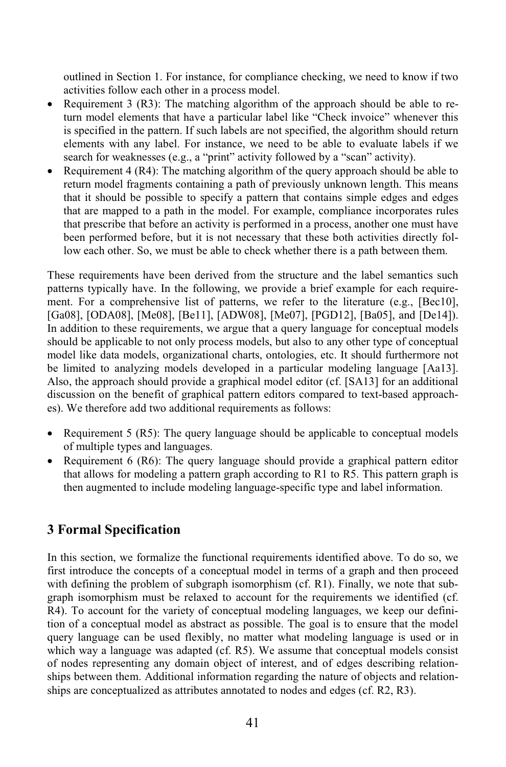outlined in Section 1. For instance, for compliance checking, we need to know if two activities follow each other in a process model.

- Requirement 3 (R3): The matching algorithm of the approach should be able to return model elements that have a particular label like "Check invoice" whenever this is specified in the pattern. If such labels are not specified, the algorithm should return elements with any label. For instance, we need to be able to evaluate labels if we search for weaknesses (e.g., a "print" activity followed by a "scan" activity).
- Requirement 4  $(R4)$ : The matching algorithm of the query approach should be able to return model fragments containing a path of previously unknown length. This means that it should be possible to specify a pattern that contains simple edges and edges that are mapped to a path in the model. For example, compliance incorporates rules that prescribe that before an activity is performed in a process, another one must have been performed before, but it is not necessary that these both activities directly follow each other. So, we must be able to check whether there is a path between them.

These requirements have been derived from the structure and the label semantics such patterns typically have. In the following, we provide a brief example for each requirement. For a comprehensive list of patterns, we refer to the literature (e.g., [Bec10], [Ga08], [ODA08], [Me08], [Be11], [ADW08], [Me07], [PGD12], [Ba05], and [De14]). In addition to these requirements, we argue that a query language for conceptual models should be applicable to not only process models, but also to any other type of conceptual model like data models, organizational charts, ontologies, etc. It should furthermore not be limited to analyzing models developed in a particular modeling language [Aa13]. Also, the approach should provide a graphical model editor (cf. [SA13] for an additional discussion on the benefit of graphical pattern editors compared to text-based approaches). We therefore add two additional requirements as follows:

- Requirement 5 (R5): The query language should be applicable to conceptual models of multiple types and languages.
- Requirement 6 (R6): The query language should provide a graphical pattern editor that allows for modeling a pattern graph according to R1 to R5. This pattern graph is then augmented to include modeling language-specific type and label information.

# **3 Formal Specification**

In this section, we formalize the functional requirements identified above. To do so, we first introduce the concepts of a conceptual model in terms of a graph and then proceed with defining the problem of subgraph isomorphism (cf. R1). Finally, we note that subgraph isomorphism must be relaxed to account for the requirements we identified (cf. R4). To account for the variety of conceptual modeling languages, we keep our definition of a conceptual model as abstract as possible. The goal is to ensure that the model query language can be used flexibly, no matter what modeling language is used or in which way a language was adapted (cf. R5). We assume that conceptual models consist of nodes representing any domain object of interest, and of edges describing relationships between them. Additional information regarding the nature of objects and relationships are conceptualized as attributes annotated to nodes and edges (cf. R2, R3).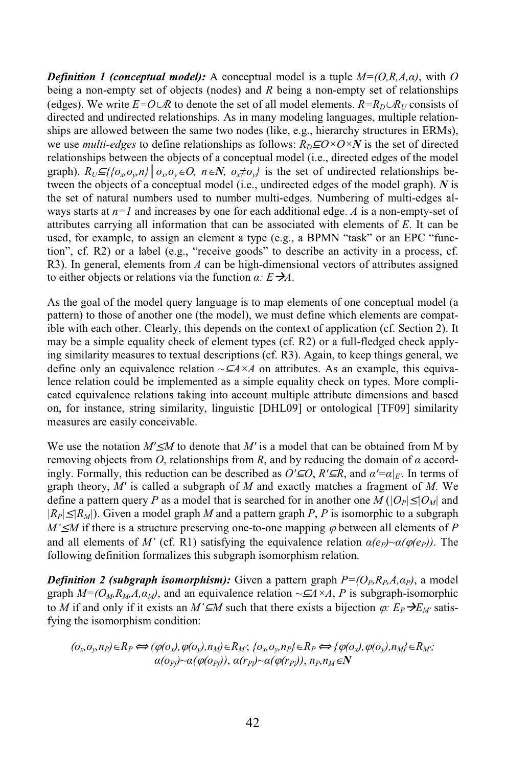*Definition 1 (conceptual model):* A conceptual model is a tuple  $M=(O, R, A, \alpha)$ , with O being a non-empty set of objects (nodes) and *R* being a non-empty set of relationships (edges). We write  $E=O\cup R$  to denote the set of all model elements.  $R=R_D\cup R_U$  consists of directed and undirected relationships. As in many modeling languages, multiple relationships are allowed between the same two nodes (like, e.g., hierarchy structures in ERMs), we use *multi-edges* to define relationships as follows:  $R_D \subseteq O \times O \times N$  is the set of directed relationships between the objects of a conceptual model (i.e., directed edges of the model graph).  $R_U \subseteq \{ \{o_x, o_y, n\} \mid o_x, o_y \in O, n \in \mathbb{N}, o_x \neq o_y \}$  is the set of undirected relationships between the objects of a conceptual model (i.e., undirected edges of the model graph). *N* is the set of natural numbers used to number multi-edges. Numbering of multi-edges always starts at *n=1* and increases by one for each additional edge. *A* is a non-empty-set of attributes carrying all information that can be associated with elements of *E*. It can be used, for example, to assign an element a type (e.g., a BPMN "task" or an EPC "function", cf. R2) or a label (e.g., "receive goods" to describe an activity in a process, cf. R3). In general, elements from *A* can be high-dimensional vectors of attributes assigned to either objects or relations via the function *α: EA*.

As the goal of the model query language is to map elements of one conceptual model (a pattern) to those of another one (the model), we must define which elements are compatible with each other. Clearly, this depends on the context of application (cf. Section 2). It may be a simple equality check of element types (cf. R2) or a full-fledged check applying similarity measures to textual descriptions (cf. R3). Again, to keep things general, we define only an equivalence relation  $\sim \mathcal{A} \times A$  on attributes. As an example, this equivalence relation could be implemented as a simple equality check on types. More complicated equivalence relations taking into account multiple attribute dimensions and based on, for instance, string similarity, linguistic [DHL09] or ontological [TF09] similarity measures are easily conceivable.

We use the notation *M'*≤*M* to denote that *M'* is a model that can be obtained from M by removing objects from  $O$ , relationships from  $R$ , and by reducing the domain of  $\alpha$  accordingly. Formally, this reduction can be described as *O'*⊆*O*, *R'*⊆*R*, and *α'=α|E'*. In terms of graph theory, *M'* is called a subgraph of *M* and exactly matches a fragment of *M*. We define a pattern query *P* as a model that is searched for in another one  $M(|O_P| \leq |O_M|)$  and  $|R_P| \leq |R_M|$ ). Given a model graph *M* and a pattern graph *P*, *P* is isomorphic to a subgraph  $M' \leq M$  if there is a structure preserving one-to-one mapping  $\varphi$  between all elements of *P* and all elements of *M'* (cf. R1) satisfying the equivalence relation  $\alpha(e_P) \sim \alpha(\varphi(e_P))$ . The following definition formalizes this subgraph isomorphism relation.

*Definition* 2 *(subgraph isomorphism):* Given a pattern graph  $P=(O_p, R_p, A, a_p)$ , a model graph  $M=(O_M, R_M, A, \alpha_M)$ , and an equivalence relation  $\sim \mathcal{A} \times A$ , *P* is subgraph-isomorphic to *M* if and only if it exists an *M'⊆M* such that there exists a bijection  $\varphi$ :  $E_P\rightarrow E_M$  satisfying the isomorphism condition:

$$
(o_x o_y, n_P) \in R_P \iff (\varphi(o_x), \varphi(o_y), n_M) \in R_M; \{o_x o_y, n_P\} \in R_P \iff \{\varphi(o_x), \varphi(o_y), n_M\} \in R_M; \alpha(o_{Pj}) \sim \alpha(\varphi(o_{Pj})), \alpha(r_{Pj}) \sim \alpha(\varphi(r_{Pj})), n_P, n_M \in N
$$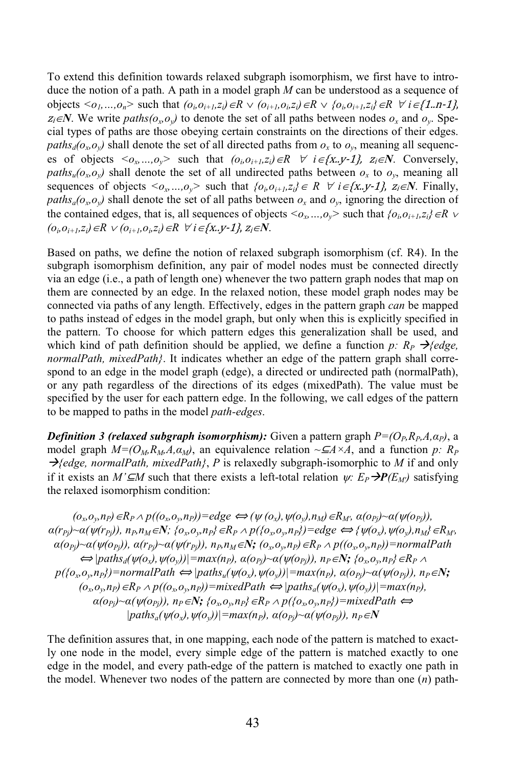To extend this definition towards relaxed subgraph isomorphism, we first have to introduce the notion of a path. A path in a model graph *M* can be understood as a sequence of objects  $\langle o_1,...,o_n \rangle$  such that  $(o_i o_{i+1}, z_i) \in R \vee (o_{i+1}, o_i, z_i) \in R \vee \{o_i, o_{i+1}, z_i\} \in R \forall i \in \{1..n-1\}$  $z_i \in \mathbb{N}$ . We write  $paths(o_x, o_y)$  to denote the set of all paths between nodes  $o_x$  and  $o_y$ . Special types of paths are those obeying certain constraints on the directions of their edges. *paths*<sub>*d*</sub>( $o_x$ , $o_y$ ) shall denote the set of all directed paths from  $o_x$  to  $o_y$ , meaning all sequences of objects  $\langle o_x, ..., o_y \rangle$  such that  $(o_i, o_{i+1}, z_i) \in R$   $\forall$   $i \in \{x, y-1\}$ ,  $z_i \in N$ . Conversely, *paths*<sub>*u*</sub>( $o_x$ , $o_y$ ) shall denote the set of all undirected paths between  $o_x$  to  $o_y$ , meaning all sequences of objects  $\langle o_x, ..., o_y \rangle$  such that  $\{o_i, o_{i+1}, z_i\} \in R$   $\forall i \in \{x, y-1\}$ ,  $z_i \in N$ . Finally, *paths<sub>a</sub>*( $o_x$ , $o_y$ ) shall denote the set of all paths between  $o_x$  and  $o_y$ , ignoring the direction of the contained edges, that is, all sequences of objects  $\langle o_x, ..., o_y \rangle$  such that  $\{o_i, o_{i+1}, z_i\} \in R$   $\vee$ *(o*<sub>*i*</sub></sub> $o_{i+1}$ ,*z*<sub>*i*</sub>)∈*R*  $\vee$  *(o*<sub>*i*+1</sub>,*o*<sub>*i*</sub>,*z*<sub>*i*</sub>)∈*R*  $\forall$  *i* ∈ {*x*..*y*-1}, *z<sub>i</sub>*∈*N*.

Based on paths, we define the notion of relaxed subgraph isomorphism (cf. R4). In the subgraph isomorphism definition, any pair of model nodes must be connected directly via an edge (i.e., a path of length one) whenever the two pattern graph nodes that map on them are connected by an edge. In the relaxed notion, these model graph nodes may be connected via paths of any length. Effectively, edges in the pattern graph *can* be mapped to paths instead of edges in the model graph, but only when this is explicitly specified in the pattern. To choose for which pattern edges this generalization shall be used, and which kind of path definition should be applied, we define a function *p*:  $R_P \rightarrow$  [*edge*, *normalPath, mixedPath}*. It indicates whether an edge of the pattern graph shall correspond to an edge in the model graph (edge), a directed or undirected path (normalPath), or any path regardless of the directions of its edges (mixedPath). The value must be specified by the user for each pattern edge. In the following, we call edges of the pattern to be mapped to paths in the model *path-edges*.

*Definition* 3 *(relaxed subgraph isomorphism):* Given a pattern graph  $P=(O_P, R_P, A, \alpha_P)$ , a model graph  $M=(O_M, R_M, A, \alpha_M)$ , an equivalence relation  $\sim \mathcal{A} \times A$ , and a function *p*:  $R_P$  $\rightarrow$  *{edge, normalPath, mixedPath}, P* is relaxedly subgraph-isomorphic to *M* if and only if it exists an *M'*⊆*M* such that there exists a left-total relation  $\psi$ :  $E_P \rightarrow P(E_M)$  satisfying the relaxed isomorphism condition:

$$
(o_x, o_y, n_P) \in R_P \land p((o_x, o_y, n_P)) = edge \Leftrightarrow (\psi(o_x), \psi(o_y), n_M) \in R_M, a(o_{Pj}) \sim a(\psi(o_{Pj})),
$$
  
\n
$$
a(r_{Pj}) \sim a(\psi(r_{Pj})), n_P, n_M \in \mathbb{N}; \{o_x, o_y, n_P\} \in R_P \land p(\{o_x, o_y, n_P\}) = edge \Leftrightarrow \{\psi(o_x), \psi(o_y), n_M\} \in R_M,
$$
  
\n
$$
a(o_{Pj}) \sim a(\psi(o_{Pj})), a(r_{Pj}) \sim a(\psi(r_{Pj})), n_P, n_M \in \mathbb{N}; (o_x, o_y, n_P) \in R_P \land p((o_x, o_y, n_P)) = normalPath
$$
  
\n
$$
\Leftrightarrow [paths_d(\psi(o_x), \psi(o_y))] = max(n_P), a(o_{Pj}) \sim a(\psi(o_{Pj})), n_P \in \mathbb{N}; \{o_x, o_y, n_P\} \in R_P \land
$$
  
\n
$$
p(\{o_x, o_y, n_P\}) = normalPath \Leftrightarrow [paths_u(\psi(o_x), \psi(o_y))] = max(n_P), a(o_{Pj}) \sim a(\psi(o_{Pj})), n_P \in \mathbb{N};
$$
  
\n
$$
(o_x, o_y, n_P) \in R_P \land p((o_x, o_y, n_P)) = mixedPath \Leftrightarrow [paths_d(\psi(o_x), \psi(o_y))] = mixedPath \Leftrightarrow
$$
  
\n
$$
a(o_{Pj}) \sim a(\psi(o_{Pj})), n_P \in \mathbb{N}; \{o_x, o_y, n_P\} \in R_P \land p(\{o_x, o_y, n_P\}) = mixedPath \Leftrightarrow
$$
  
\n
$$
[paths_d(\psi(o_x), \psi(o_y))] = max(n_P), a(o_{Pj}) \sim a(\psi(o_{Pj})), n_P \in \mathbb{N}
$$

The definition assures that, in one mapping, each node of the pattern is matched to exactly one node in the model, every simple edge of the pattern is matched exactly to one edge in the model, and every path-edge of the pattern is matched to exactly one path in the model. Whenever two nodes of the pattern are connected by more than one (*n*) path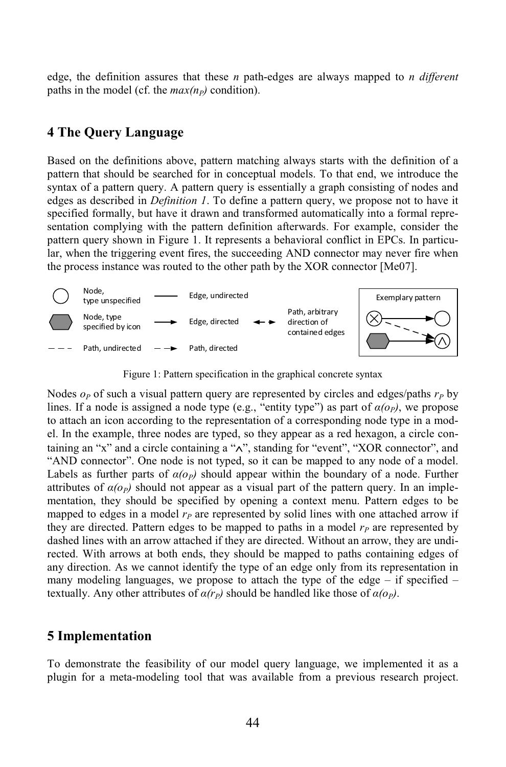edge, the definition assures that these *n* path-edges are always mapped to *n different* paths in the model (cf. the  $max(n_P)$  condition).

#### **4 The Query Language**

Based on the definitions above, pattern matching always starts with the definition of a pattern that should be searched for in conceptual models. To that end, we introduce the syntax of a pattern query. A pattern query is essentially a graph consisting of nodes and edges as described in *Definition 1*. To define a pattern query, we propose not to have it specified formally, but have it drawn and transformed automatically into a formal representation complying with the pattern definition afterwards. For example, consider the pattern query shown in Figure 1. It represents a behavioral conflict in EPCs. In particular, when the triggering event fires, the succeeding AND connector may never fire when the process instance was routed to the other path by the XOR connector [Me07].



Figure 1: Pattern specification in the graphical concrete syntax

Nodes *o<sup>P</sup>* of such a visual pattern query are represented by circles and edges/paths *r<sup>P</sup>* by lines. If a node is assigned a node type (e.g., "entity type") as part of  $a(\rho_p)$ , we propose to attach an icon according to the representation of a corresponding node type in a model. In the example, three nodes are typed, so they appear as a red hexagon, a circle containing an "x" and a circle containing a "∧", standing for "event", "XOR connector", and "AND connector". One node is not typed, so it can be mapped to any node of a model. Labels as further parts of  $\alpha(\rho_p)$  should appear within the boundary of a node. Further attributes of  $\alpha(\rho_p)$  should not appear as a visual part of the pattern query. In an implementation, they should be specified by opening a context menu. Pattern edges to be mapped to edges in a model  $r<sub>P</sub>$  are represented by solid lines with one attached arrow if they are directed. Pattern edges to be mapped to paths in a model  $r<sub>P</sub>$  are represented by dashed lines with an arrow attached if they are directed. Without an arrow, they are undirected. With arrows at both ends, they should be mapped to paths containing edges of any direction. As we cannot identify the type of an edge only from its representation in many modeling languages, we propose to attach the type of the edge – if specified – textually. Any other attributes of  $\alpha(r_p)$  should be handled like those of  $\alpha(\rho_p)$ .

#### **5 Implementation**

To demonstrate the feasibility of our model query language, we implemented it as a plugin for a meta-modeling tool that was available from a previous research project.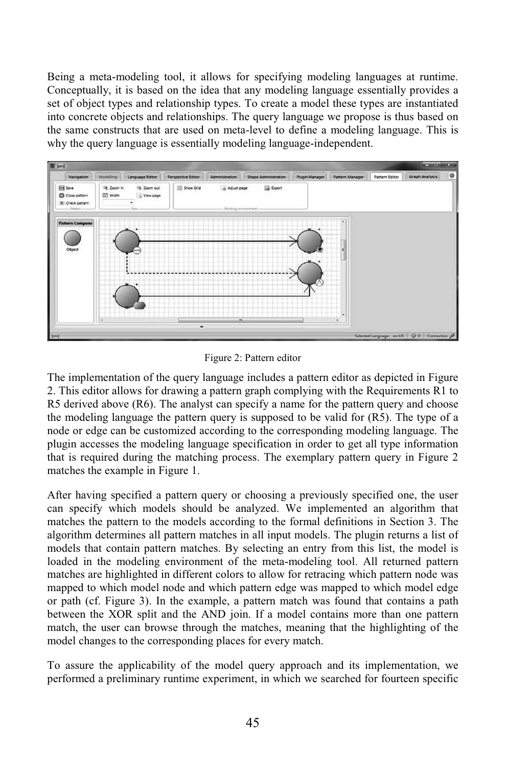Being a meta-modeling tool, it allows for specifying modeling languages at runtime. Conceptually, it is based on the idea that any modeling language essentially provides a set of object types and relationship types. To create a model these types are instantiated into concrete objects and relationships. The query language we propose is thus based on the same constructs that are used on meta-level to define a modeling language. This is why the query language is essentially modeling language-independent.



Figure 2: Pattern editor

The implementation of the query language includes a pattern editor as depicted in Figure 2. This editor allows for drawing a pattern graph complying with the Requirements R1 to R5 derived above (R6). The analyst can specify a name for the pattern query and choose the modeling language the pattern query is supposed to be valid for (R5). The type of a node or edge can be customized according to the corresponding modeling language. The plugin accesses the modeling language specification in order to get all type information that is required during the matching process. The exemplary pattern query in Figure 2 matches the example in Figure 1.

After having specified a pattern query or choosing a previously specified one, the user can specify which models should be analyzed. We implemented an algorithm that matches the pattern to the models according to the formal definitions in Section 3. The algorithm determines all pattern matches in all input models. The plugin returns a list of models that contain pattern matches. By selecting an entry from this list, the model is loaded in the modeling environment of the meta-modeling tool. All returned pattern matches are highlighted in different colors to allow for retracing which pattern node was mapped to which model node and which pattern edge was mapped to which model edge or path (cf. Figure 3). In the example, a pattern match was found that contains a path between the XOR split and the AND join. If a model contains more than one pattern match, the user can browse through the matches, meaning that the highlighting of the model changes to the corresponding places for every match.

To assure the applicability of the model query approach and its implementation, we performed a preliminary runtime experiment, in which we searched for fourteen specific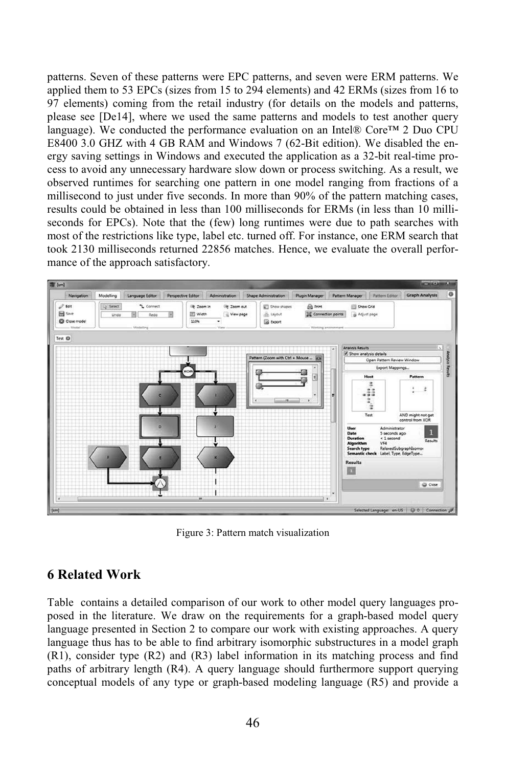patterns. Seven of these patterns were EPC patterns, and seven were ERM patterns. We applied them to 53 EPCs (sizes from 15 to 294 elements) and 42 ERMs (sizes from 16 to 97 elements) coming from the retail industry (for details on the models and patterns, please see [De14], where we used the same patterns and models to test another query language). We conducted the performance evaluation on an Intel® Core<sup>TM</sup> 2 Duo CPU E8400 3.0 GHZ with 4 GB RAM and Windows 7 (62-Bit edition). We disabled the energy saving settings in Windows and executed the application as a 32-bit real-time process to avoid any unnecessary hardware slow down or process switching. As a result, we observed runtimes for searching one pattern in one model ranging from fractions of a millisecond to just under five seconds. In more than 90% of the pattern matching cases, results could be obtained in less than 100 milliseconds for ERMs (in less than 10 milliseconds for EPCs). Note that the (few) long runtimes were due to path searches with most of the restrictions like type, label etc. turned off. For instance, one ERM search that took 2130 milliseconds returned 22856 matches. Hence, we evaluate the overall performance of the approach satisfactory.



Figure 3: Pattern match visualization

### **6 Related Work**

Table contains a detailed comparison of our work to other model query languages proposed in the literature. We draw on the requirements for a graph-based model query language presented in Section 2 to compare our work with existing approaches. A query language thus has to be able to find arbitrary isomorphic substructures in a model graph (R1), consider type (R2) and (R3) label information in its matching process and find paths of arbitrary length (R4). A query language should furthermore support querying conceptual models of any type or graph-based modeling language (R5) and provide a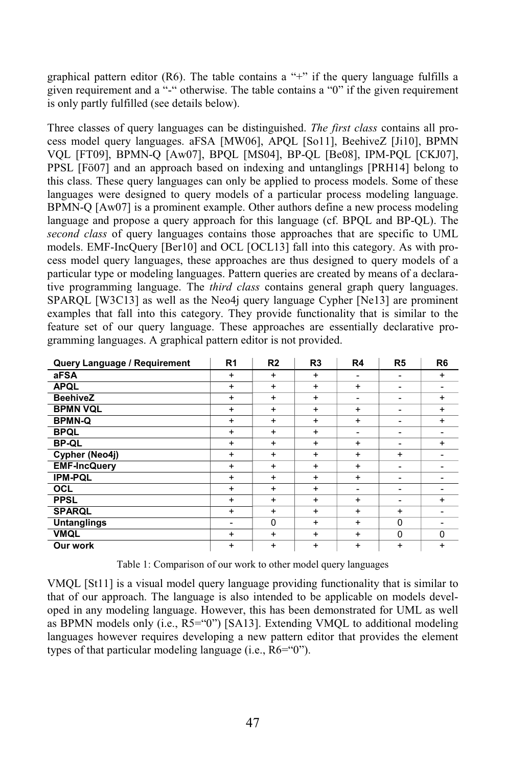graphical pattern editor  $(R6)$ . The table contains a "+" if the query language fulfills a given requirement and a "-" otherwise. The table contains a "0" if the given requirement is only partly fulfilled (see details below).

Three classes of query languages can be distinguished. *The first class* contains all process model query languages. aFSA [MW06], APQL [So11], BeehiveZ [Ji10], BPMN VQL [FT09], BPMN-Q [Aw07], BPQL [MS04], BP-QL [Be08], IPM-PQL [CKJ07], PPSL [Fö07] and an approach based on indexing and untanglings [PRH14] belong to this class. These query languages can only be applied to process models. Some of these languages were designed to query models of a particular process modeling language. BPMN-Q [Aw07] is a prominent example. Other authors define a new process modeling language and propose a query approach for this language (cf. BPQL and BP-QL). The *second class* of query languages contains those approaches that are specific to UML models. EMF-IncQuery [Ber10] and OCL [OCL13] fall into this category. As with process model query languages, these approaches are thus designed to query models of a particular type or modeling languages. Pattern queries are created by means of a declarative programming language. The *third class* contains general graph query languages. SPARQL [W3C13] as well as the Neo4j query language Cypher [Ne13] are prominent examples that fall into this category. They provide functionality that is similar to the feature set of our query language. These approaches are essentially declarative programming languages. A graphical pattern editor is not provided.

| Query Language / Requirement | R <sub>1</sub> | R <sub>2</sub> | R <sub>3</sub> | R <sub>4</sub>           | R <sub>5</sub>           | R <sub>6</sub> |
|------------------------------|----------------|----------------|----------------|--------------------------|--------------------------|----------------|
| aFSA                         | $\ddot{}$      | $\ddot{}$      | $\ddot{}$      | $\overline{\phantom{0}}$ | $\overline{\phantom{0}}$ | $\ddot{}$      |
| <b>APQL</b>                  | $\ddot{}$      | $\ddot{}$      | $+$            | $\ddot{}$                | $\overline{\phantom{0}}$ |                |
| <b>BeehiveZ</b>              | $\ddot{}$      | $\ddot{}$      | $\ddot{}$      | $\overline{\phantom{0}}$ | $\overline{\phantom{0}}$ | $\ddot{}$      |
| <b>BPMN VQL</b>              | $\ddot{}$      | $\ddot{}$      | $\ddot{}$      | $\ddot{}$                |                          | $\ddot{}$      |
| <b>BPMN-Q</b>                | $\ddot{}$      | $\ddot{}$      | $+$            | $\ddot{}$                |                          | $\ddot{}$      |
| <b>BPQL</b>                  | $\ddot{}$      | $\ddot{}$      | $\ddot{}$      | $\overline{\phantom{0}}$ | $\overline{\phantom{0}}$ |                |
| <b>BP-QL</b>                 | $\ddot{}$      | $\ddot{}$      | $\ddot{}$      | $\ddot{}$                | $\overline{\phantom{0}}$ | $\ddot{}$      |
| Cypher (Neo4j)               | $\ddot{}$      | $\ddot{}$      | $\ddot{}$      | +                        | $\ddot{}$                |                |
| <b>EMF-IncQuery</b>          | $\ddot{}$      | $\ddot{}$      | $\ddot{}$      | +                        | $\overline{\phantom{0}}$ |                |
| <b>IPM-PQL</b>               | $\ddot{}$      | $\ddot{}$      | $+$            | $\ddot{}$                |                          |                |
| OCL                          | $\ddot{}$      | $\ddot{}$      | $\ddot{}$      | $\overline{\phantom{0}}$ | $\overline{\phantom{0}}$ |                |
| <b>PPSL</b>                  | $\ddot{}$      | $\ddot{}$      | $\ddot{}$      | +                        | $\overline{\phantom{0}}$ | $\ddot{}$      |
| <b>SPARQL</b>                | $\ddot{}$      | $\ddot{}$      | $\ddot{}$      | $\ddot{}$                | $\ddot{}$                |                |
| <b>Untanglings</b>           | -              | $\Omega$       | $\ddot{}$      | +                        | $\Omega$                 |                |
| <b>VMQL</b>                  | $\ddot{}$      | $\ddot{}$      | $\ddot{}$      | $\ddot{}$                | $\Omega$                 | $\Omega$       |
| Our work                     | $\ddot{}$      | $\ddot{}$      | $\ddot{}$      | $\ddot{}$                | $\ddot{}$                | $\ddot{}$      |

Table 1: Comparison of our work to other model query languages

VMQL [St11] is a visual model query language providing functionality that is similar to that of our approach. The language is also intended to be applicable on models developed in any modeling language. However, this has been demonstrated for UML as well as BPMN models only (i.e., R5="0") [SA13]. Extending VMQL to additional modeling languages however requires developing a new pattern editor that provides the element types of that particular modeling language (i.e., R6="0").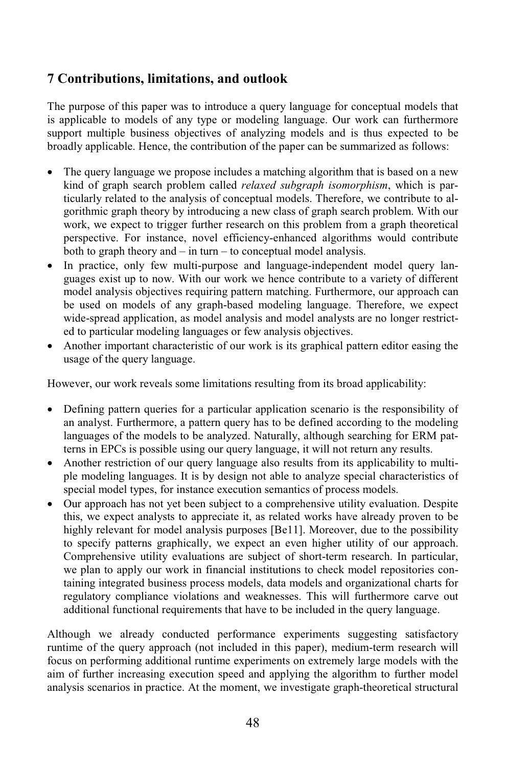### **7 Contributions, limitations, and outlook**

The purpose of this paper was to introduce a query language for conceptual models that is applicable to models of any type or modeling language. Our work can furthermore support multiple business objectives of analyzing models and is thus expected to be broadly applicable. Hence, the contribution of the paper can be summarized as follows:

- The query language we propose includes a matching algorithm that is based on a new kind of graph search problem called *relaxed subgraph isomorphism*, which is particularly related to the analysis of conceptual models. Therefore, we contribute to algorithmic graph theory by introducing a new class of graph search problem. With our work, we expect to trigger further research on this problem from a graph theoretical perspective. For instance, novel efficiency-enhanced algorithms would contribute both to graph theory and – in turn – to conceptual model analysis.
- In practice, only few multi-purpose and language-independent model query languages exist up to now. With our work we hence contribute to a variety of different model analysis objectives requiring pattern matching. Furthermore, our approach can be used on models of any graph-based modeling language. Therefore, we expect wide-spread application, as model analysis and model analysts are no longer restricted to particular modeling languages or few analysis objectives.
- Another important characteristic of our work is its graphical pattern editor easing the usage of the query language.

However, our work reveals some limitations resulting from its broad applicability:

- Defining pattern queries for a particular application scenario is the responsibility of an analyst. Furthermore, a pattern query has to be defined according to the modeling languages of the models to be analyzed. Naturally, although searching for ERM patterns in EPCs is possible using our query language, it will not return any results.
- Another restriction of our query language also results from its applicability to multiple modeling languages. It is by design not able to analyze special characteristics of special model types, for instance execution semantics of process models.
- Our approach has not yet been subject to a comprehensive utility evaluation. Despite this, we expect analysts to appreciate it, as related works have already proven to be highly relevant for model analysis purposes [Be11]. Moreover, due to the possibility to specify patterns graphically, we expect an even higher utility of our approach. Comprehensive utility evaluations are subject of short-term research. In particular, we plan to apply our work in financial institutions to check model repositories containing integrated business process models, data models and organizational charts for regulatory compliance violations and weaknesses. This will furthermore carve out additional functional requirements that have to be included in the query language.

Although we already conducted performance experiments suggesting satisfactory runtime of the query approach (not included in this paper), medium-term research will focus on performing additional runtime experiments on extremely large models with the aim of further increasing execution speed and applying the algorithm to further model analysis scenarios in practice. At the moment, we investigate graph-theoretical structural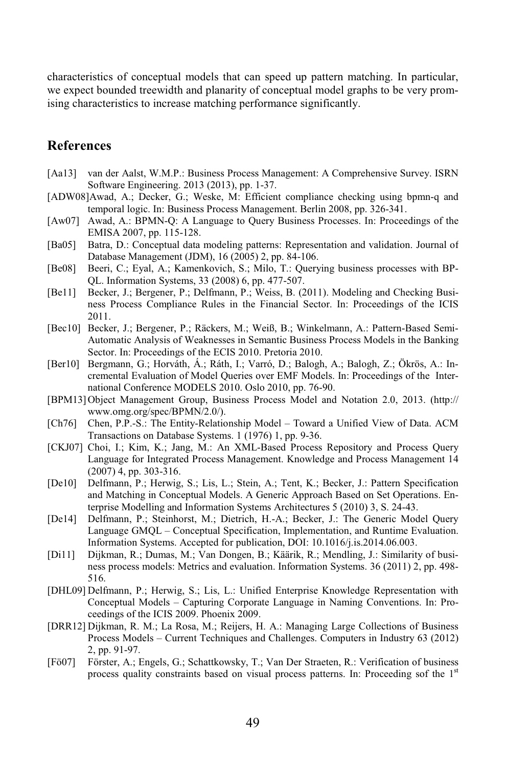characteristics of conceptual models that can speed up pattern matching. In particular, we expect bounded treewidth and planarity of conceptual model graphs to be very promising characteristics to increase matching performance significantly.

#### **References**

- [Aa13] van der Aalst, W.M.P.: Business Process Management: A Comprehensive Survey. ISRN Software Engineering. 2013 (2013), pp. 1-37.
- [ADW08]Awad, A.; Decker, G.; Weske, M: Efficient compliance checking using bpmn-q and temporal logic. In: Business Process Management. Berlin 2008, pp. 326-341.
- [Aw07] Awad, A.: BPMN-Q: A Language to Query Business Processes. In: Proceedings of the EMISA 2007, pp. 115-128.
- [Ba05] Batra, D.: Conceptual data modeling patterns: Representation and validation. Journal of Database Management (JDM), 16 (2005) 2, pp. 84-106.
- [Be08] Beeri, C.; Eyal, A.; Kamenkovich, S.; Milo, T.: Querying business processes with BP-QL. Information Systems, 33 (2008) 6, pp. 477-507.
- [Be11] Becker, J.; Bergener, P.; Delfmann, P.; Weiss, B. (2011). Modeling and Checking Business Process Compliance Rules in the Financial Sector. In: Proceedings of the ICIS 2011.
- [Bec10] Becker, J.; Bergener, P.; Räckers, M.; Weiß, B.; Winkelmann, A.: Pattern-Based Semi-Automatic Analysis of Weaknesses in Semantic Business Process Models in the Banking Sector. In: Proceedings of the ECIS 2010. Pretoria 2010.
- [Ber10] Bergmann, G.; Horváth, Á.; Ráth, I.; Varró, D.; Balogh, A.; Balogh, Z.; Ökrös, A.: Incremental Evaluation of Model Queries over EMF Models. In: Proceedings of the International Conference MODELS 2010. Oslo 2010, pp. 76-90.
- [BPM13]Object Management Group, Business Process Model and Notation 2.0, 2013. (http:// www.omg.org/spec/BPMN/2.0/).
- [Ch76] Chen, P.P.-S.: The Entity-Relationship Model Toward a Unified View of Data. ACM Transactions on Database Systems. 1 (1976) 1, pp. 9-36.
- [CKJ07] Choi, I.; Kim, K.; Jang, M.: An XML-Based Process Repository and Process Query Language for Integrated Process Management. Knowledge and Process Management 14 (2007) 4, pp. 303-316.
- [De10] Delfmann, P.; Herwig, S.; Lis, L.; Stein, A.; Tent, K.; Becker, J.: Pattern Specification and Matching in Conceptual Models. A Generic Approach Based on Set Operations. Enterprise Modelling and Information Systems Architectures 5 (2010) 3, S. 24-43.
- [De14] Delfmann, P.; Steinhorst, M.; Dietrich, H.-A.; Becker, J.: The Generic Model Query Language GMQL – Conceptual Specification, Implementation, and Runtime Evaluation. Information Systems. Accepted for publication, DOI: 10.1016/j.is.2014.06.003.
- [Di11] Dijkman, R.; Dumas, M.; Van Dongen, B.; Käärik, R.; Mendling, J.: Similarity of business process models: Metrics and evaluation. Information Systems. 36 (2011) 2, pp. 498- 516.
- [DHL09] Delfmann, P.; Herwig, S.; Lis, L.: Unified Enterprise Knowledge Representation with Conceptual Models – Capturing Corporate Language in Naming Conventions. In: Proceedings of the ICIS 2009. Phoenix 2009.
- [DRR12] Dijkman, R. M.; La Rosa, M.; Reijers, H. A.: Managing Large Collections of Business Process Models – Current Techniques and Challenges. Computers in Industry 63 (2012) 2, pp. 91-97.
- [Fö07] Förster, A.; Engels, G.; Schattkowsky, T.; Van Der Straeten, R.: Verification of business process quality constraints based on visual process patterns. In: Proceeding sof the  $1<sup>st</sup>$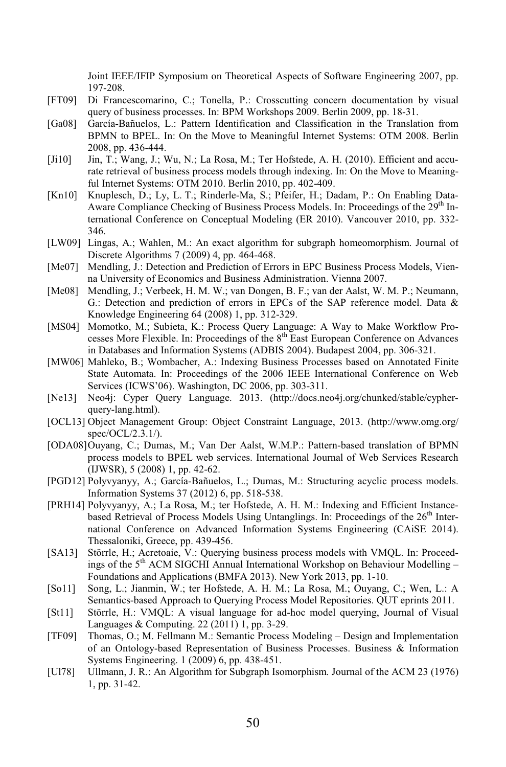Joint IEEE/IFIP Symposium on Theoretical Aspects of Software Engineering 2007, pp. 197-208.

- [FT09] Di Francescomarino, C.; Tonella, P.: Crosscutting concern documentation by visual query of business processes. In: BPM Workshops 2009. Berlin 2009, pp. 18-31.
- [Ga08] García-Bañuelos, L.: Pattern Identification and Classification in the Translation from BPMN to BPEL. In: On the Move to Meaningful Internet Systems: OTM 2008. Berlin 2008, pp. 436-444.
- [Ji10] Jin, T.; Wang, J.; Wu, N.; La Rosa, M.; Ter Hofstede, A. H. (2010). Efficient and accurate retrieval of business process models through indexing. In: On the Move to Meaningful Internet Systems: OTM 2010. Berlin 2010, pp. 402-409.
- [Kn10] Knuplesch, D.; Ly, L. T.; Rinderle-Ma, S.; Pfeifer, H.; Dadam, P.: On Enabling Data-Aware Compliance Checking of Business Process Models. In: Proceedings of the  $29<sup>th</sup>$  International Conference on Conceptual Modeling (ER 2010). Vancouver 2010, pp. 332- 346.
- [LW09] Lingas, A.; Wahlen, M.: An exact algorithm for subgraph homeomorphism. Journal of Discrete Algorithms 7 (2009) 4, pp. 464-468.
- [Me07] Mendling, J.: Detection and Prediction of Errors in EPC Business Process Models, Vienna University of Economics and Business Administration. Vienna 2007.
- [Me08] Mendling, J.; Verbeek, H. M. W.; van Dongen, B. F.; van der Aalst, W. M. P.; Neumann, G.: Detection and prediction of errors in EPCs of the SAP reference model. Data & Knowledge Engineering 64 (2008) 1, pp. 312-329.
- [MS04] Momotko, M.; Subieta, K.: Process Query Language: A Way to Make Workflow Processes More Flexible. In: Proceedings of the 8<sup>th</sup> East European Conference on Advances in Databases and Information Systems (ADBIS 2004). Budapest 2004, pp. 306-321.
- [MW06] Mahleko, B.; Wombacher, A.: Indexing Business Processes based on Annotated Finite State Automata. In: Proceedings of the 2006 IEEE International Conference on Web Services (ICWS'06). Washington, DC 2006, pp. 303-311.
- [Ne13] Neo4j: Cyper Query Language. 2013. (http://docs.neo4j.org/chunked/stable/cypherquery-lang.html).
- [OCL13] Object Management Group: Object Constraint Language, 2013. (http://www.omg.org/ spec/OCL/2.3.1/).
- [ODA08]Ouyang, C.; Dumas, M.; Van Der Aalst, W.M.P.: Pattern-based translation of BPMN process models to BPEL web services. International Journal of Web Services Research (IJWSR), 5 (2008) 1, pp. 42-62.
- [PGD12] Polyvyanyy, A.; García-Bañuelos, L.; Dumas, M.: Structuring acyclic process models. Information Systems 37 (2012) 6, pp. 518-538.
- [PRH14] Polyvyanyy, A.; La Rosa, M.; ter Hofstede, A. H. M.: Indexing and Efficient Instancebased Retrieval of Process Models Using Untanglings. In: Proceedings of the 26<sup>th</sup> International Conference on Advanced Information Systems Engineering (CAiSE 2014). Thessaloniki, Greece, pp. 439-456.
- [SA13] Störrle, H.; Acretoaie, V.: Querying business process models with VMQL. In: Proceedings of the  $5<sup>th</sup>$  ACM SIGCHI Annual International Workshop on Behaviour Modelling – Foundations and Applications (BMFA 2013). New York 2013, pp. 1-10.
- [So11] Song, L.; Jianmin, W.; ter Hofstede, A. H. M.; La Rosa, M.; Ouyang, C.; Wen, L.: A Semantics-based Approach to Querying Process Model Repositories. QUT eprints 2011.
- [St11] Störrle, H.: VMQL: A visual language for ad-hoc model querying, Journal of Visual Languages & Computing. 22 (2011) 1, pp. 3-29.
- [TF09] Thomas, O.; M. Fellmann M.: Semantic Process Modeling Design and Implementation of an Ontology-based Representation of Business Processes. Business & Information Systems Engineering. 1 (2009) 6, pp. 438-451.
- [Ul78] Ullmann, J. R.: An Algorithm for Subgraph Isomorphism. Journal of the ACM 23 (1976) 1, pp. 31-42.